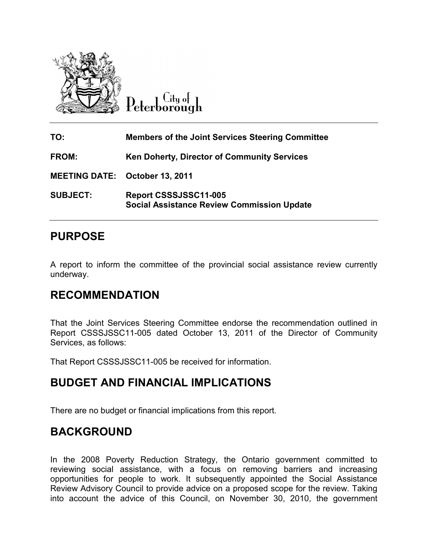

City of Peterborough

| TO:                                   | <b>Members of the Joint Services Steering Committee</b>                    |
|---------------------------------------|----------------------------------------------------------------------------|
| <b>FROM:</b>                          | <b>Ken Doherty, Director of Community Services</b>                         |
| <b>MEETING DATE: October 13, 2011</b> |                                                                            |
| <b>SUBJECT:</b>                       | Report CSSSJSSC11-005<br><b>Social Assistance Review Commission Update</b> |

# **PURPOSE**

A report to inform the committee of the provincial social assistance review currently underway.

### **RECOMMENDATION**

That the Joint Services Steering Committee endorse the recommendation outlined in Report CSSSJSSC11-005 dated October 13, 2011 of the Director of Community Services, as follows:

That Report CSSSJSSC11-005 be received for information.

# **BUDGET AND FINANCIAL IMPLICATIONS**

There are no budget or financial implications from this report.

# **BACKGROUND**

In the 2008 Poverty Reduction Strategy, the Ontario government committed to reviewing social assistance, with a focus on removing barriers and increasing opportunities for people to work. It subsequently appointed the Social Assistance Review Advisory Council to provide advice on a proposed scope for the review. Taking into account the advice of this Council, on November 30, 2010, the government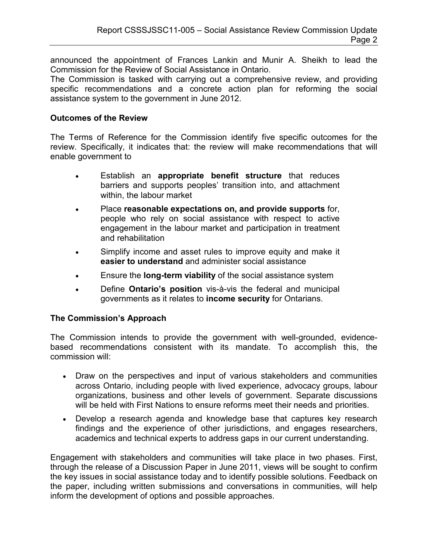announced the appointment of Frances Lankin and Munir A. Sheikh to lead the Commission for the Review of Social Assistance in Ontario.

The Commission is tasked with carrying out a comprehensive review, and providing specific recommendations and a concrete action plan for reforming the social assistance system to the government in June 2012.

#### **Outcomes of the Review**

The Terms of Reference for the Commission identify five specific outcomes for the review. Specifically, it indicates that: the review will make recommendations that will enable government to

- Establish an **appropriate benefit structure** that reduces barriers and supports peoples' transition into, and attachment within, the labour market
- Place **reasonable expectations on, and provide supports** for, people who rely on social assistance with respect to active engagement in the labour market and participation in treatment and rehabilitation
- Simplify income and asset rules to improve equity and make it **easier to understand** and administer social assistance
- Ensure the **long-term viability** of the social assistance system
- Define **Ontario's position** vis-à-vis the federal and municipal governments as it relates to **income security** for Ontarians.

### **The Commission's Approach**

The Commission intends to provide the government with well-grounded, evidencebased recommendations consistent with its mandate. To accomplish this, the commission will:

- Draw on the perspectives and input of various stakeholders and communities across Ontario, including people with lived experience, advocacy groups, labour organizations, business and other levels of government. Separate discussions will be held with First Nations to ensure reforms meet their needs and priorities.
- Develop a research agenda and knowledge base that captures key research findings and the experience of other jurisdictions, and engages researchers, academics and technical experts to address gaps in our current understanding.

Engagement with stakeholders and communities will take place in two phases. First, through the release of a Discussion Paper in June 2011, views will be sought to confirm the key issues in social assistance today and to identify possible solutions. Feedback on the paper, including written submissions and conversations in communities, will help inform the development of options and possible approaches.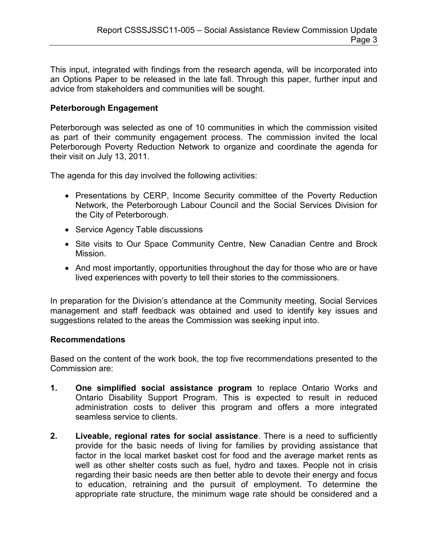This input, integrated with findings from the research agenda, will be incorporated into an Options Paper to be released in the late fall. Through this paper, further input and advice from stakeholders and communities will be sought.

### **Peterborough Engagement**

Peterborough was selected as one of 10 communities in which the commission visited as part of their community engagement process. The commission invited the local Peterborough Poverty Reduction Network to organize and coordinate the agenda for their visit on July 13, 2011.

The agenda for this day involved the following activities:

- Presentations by CERP, Income Security committee of the Poverty Reduction Network, the Peterborough Labour Council and the Social Services Division for the City of Peterborough.
- Service Agency Table discussions
- Site visits to Our Space Community Centre, New Canadian Centre and Brock Mission.
- And most importantly, opportunities throughout the day for those who are or have lived experiences with poverty to tell their stories to the commissioners.

In preparation for the Division's attendance at the Community meeting, Social Services management and staff feedback was obtained and used to identify key issues and suggestions related to the areas the Commission was seeking input into.

#### **Recommendations**

Based on the content of the work book, the top five recommendations presented to the Commission are:

- **1. One simplified social assistance program** to replace Ontario Works and Ontario Disability Support Program. This is expected to result in reduced administration costs to deliver this program and offers a more integrated seamless service to clients.
- **2. Liveable, regional rates for social assistance**. There is a need to sufficiently provide for the basic needs of living for families by providing assistance that factor in the local market basket cost for food and the average market rents as well as other shelter costs such as fuel, hydro and taxes. People not in crisis regarding their basic needs are then better able to devote their energy and focus to education, retraining and the pursuit of employment. To determine the appropriate rate structure, the minimum wage rate should be considered and a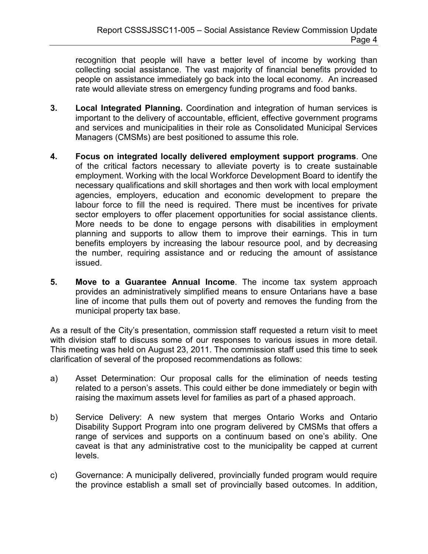recognition that people will have a better level of income by working than collecting social assistance. The vast majority of financial benefits provided to people on assistance immediately go back into the local economy. An increased rate would alleviate stress on emergency funding programs and food banks.

- **3. Local Integrated Planning.** Coordination and integration of human services is important to the delivery of accountable, efficient, effective government programs and services and municipalities in their role as Consolidated Municipal Services Managers (CMSMs) are best positioned to assume this role.
- **4. Focus on integrated locally delivered employment support programs**. One of the critical factors necessary to alleviate poverty is to create sustainable employment. Working with the local Workforce Development Board to identify the necessary qualifications and skill shortages and then work with local employment agencies, employers, education and economic development to prepare the labour force to fill the need is required. There must be incentives for private sector employers to offer placement opportunities for social assistance clients. More needs to be done to engage persons with disabilities in employment planning and supports to allow them to improve their earnings. This in turn benefits employers by increasing the labour resource pool, and by decreasing the number, requiring assistance and or reducing the amount of assistance issued.
- **5. Move to a Guarantee Annual Income**. The income tax system approach provides an administratively simplified means to ensure Ontarians have a base line of income that pulls them out of poverty and removes the funding from the municipal property tax base.

As a result of the City's presentation, commission staff requested a return visit to meet with division staff to discuss some of our responses to various issues in more detail. This meeting was held on August 23, 2011. The commission staff used this time to seek clarification of several of the proposed recommendations as follows:

- a) Asset Determination: Our proposal calls for the elimination of needs testing related to a person's assets. This could either be done immediately or begin with raising the maximum assets level for families as part of a phased approach.
- b) Service Delivery: A new system that merges Ontario Works and Ontario Disability Support Program into one program delivered by CMSMs that offers a range of services and supports on a continuum based on one's ability. One caveat is that any administrative cost to the municipality be capped at current levels.
- c) Governance: A municipally delivered, provincially funded program would require the province establish a small set of provincially based outcomes. In addition,